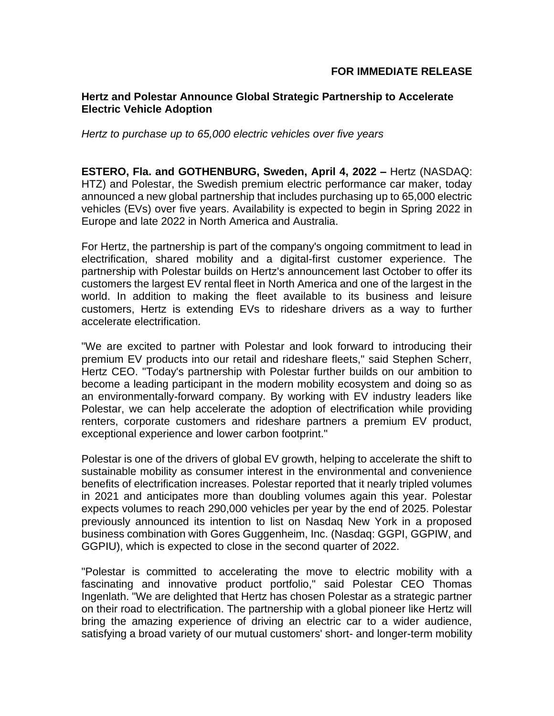# **Hertz and Polestar Announce Global Strategic Partnership to Accelerate Electric Vehicle Adoption**

*Hertz to purchase up to 65,000 electric vehicles over five years*

**ESTERO, Fla. and GOTHENBURG, Sweden, April 4, 2022 –** Hertz (NASDAQ: HTZ) and Polestar, the Swedish premium electric performance car maker, today announced a new global partnership that includes purchasing up to 65,000 electric vehicles (EVs) over five years. Availability is expected to begin in Spring 2022 in Europe and late 2022 in North America and Australia.

For Hertz, the partnership is part of the company's ongoing commitment to lead in electrification, shared mobility and a digital-first customer experience. The partnership with Polestar builds on Hertz's announcement last October to offer its customers the largest EV rental fleet in North America and one of the largest in the world. In addition to making the fleet available to its business and leisure customers, Hertz is extending EVs to rideshare drivers as a way to further accelerate electrification.

"We are excited to partner with Polestar and look forward to introducing their premium EV products into our retail and rideshare fleets," said Stephen Scherr, Hertz CEO. "Today's partnership with Polestar further builds on our ambition to become a leading participant in the modern mobility ecosystem and doing so as an environmentally-forward company. By working with EV industry leaders like Polestar, we can help accelerate the adoption of electrification while providing renters, corporate customers and rideshare partners a premium EV product, exceptional experience and lower carbon footprint."

Polestar is one of the drivers of global EV growth, helping to accelerate the shift to sustainable mobility as consumer interest in the environmental and convenience benefits of electrification increases. Polestar reported that it nearly tripled volumes in 2021 and anticipates more than doubling volumes again this year. Polestar expects volumes to reach 290,000 vehicles per year by the end of 2025. Polestar previously announced its intention to list on Nasdaq New York in a proposed business combination with Gores Guggenheim, Inc. (Nasdaq: GGPI, GGPIW, and GGPIU), which is expected to close in the second quarter of 2022.

"Polestar is committed to accelerating the move to electric mobility with a fascinating and innovative product portfolio," said Polestar CEO Thomas Ingenlath. "We are delighted that Hertz has chosen Polestar as a strategic partner on their road to electrification. The partnership with a global pioneer like Hertz will bring the amazing experience of driving an electric car to a wider audience, satisfying a broad variety of our mutual customers' short- and longer-term mobility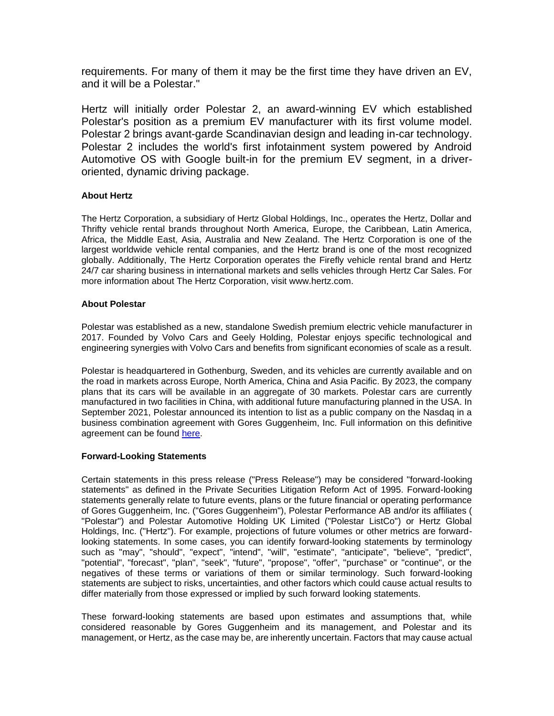requirements. For many of them it may be the first time they have driven an EV, and it will be a Polestar."

Hertz will initially order Polestar 2, an award-winning EV which established Polestar's position as a premium EV manufacturer with its first volume model. Polestar 2 brings avant-garde Scandinavian design and leading in-car technology. Polestar 2 includes the world's first infotainment system powered by Android Automotive OS with Google built-in for the premium EV segment, in a driveroriented, dynamic driving package.

### **About Hertz**

The Hertz Corporation, a subsidiary of Hertz Global Holdings, Inc., operates the Hertz, Dollar and Thrifty vehicle rental brands throughout North America, Europe, the Caribbean, Latin America, Africa, the Middle East, Asia, Australia and New Zealand. The Hertz Corporation is one of the largest worldwide vehicle rental companies, and the Hertz brand is one of the most recognized globally. Additionally, The Hertz Corporation operates the Firefly vehicle rental brand and Hertz 24/7 car sharing business in international markets and sells vehicles through Hertz Car Sales. For more information about The Hertz Corporation, visit www.hertz.com.

### **About Polestar**

Polestar was established as a new, standalone Swedish premium electric vehicle manufacturer in 2017. Founded by Volvo Cars and Geely Holding, Polestar enjoys specific technological and engineering synergies with Volvo Cars and benefits from significant economies of scale as a result.

Polestar is headquartered in Gothenburg, Sweden, and its vehicles are currently available and on the road in markets across Europe, North America, China and Asia Pacific. By 2023, the company plans that its cars will be available in an aggregate of 30 markets. Polestar cars are currently manufactured in two facilities in China, with additional future manufacturing planned in the USA. In September 2021, Polestar announced its intention to list as a public company on the Nasdaq in a business combination agreement with Gores Guggenheim, Inc. Full information on this definitive agreement can be found [here.](https://media.polestar.com/global/en/media/pressreleases/638625)

### **Forward-Looking Statements**

Certain statements in this press release ("Press Release") may be considered "forward-looking statements" as defined in the Private Securities Litigation Reform Act of 1995. Forward-looking statements generally relate to future events, plans or the future financial or operating performance of Gores Guggenheim, Inc. ("Gores Guggenheim"), Polestar Performance AB and/or its affiliates ( "Polestar") and Polestar Automotive Holding UK Limited ("Polestar ListCo") or Hertz Global Holdings, Inc. ("Hertz"). For example, projections of future volumes or other metrics are forwardlooking statements. In some cases, you can identify forward-looking statements by terminology such as "may", "should", "expect", "intend", "will", "estimate", "anticipate", "believe", "predict", "potential", "forecast", "plan", "seek", "future", "propose", "offer", "purchase" or "continue", or the negatives of these terms or variations of them or similar terminology. Such forward-looking statements are subject to risks, uncertainties, and other factors which could cause actual results to differ materially from those expressed or implied by such forward looking statements.

These forward-looking statements are based upon estimates and assumptions that, while considered reasonable by Gores Guggenheim and its management, and Polestar and its management, or Hertz, as the case may be, are inherently uncertain. Factors that may cause actual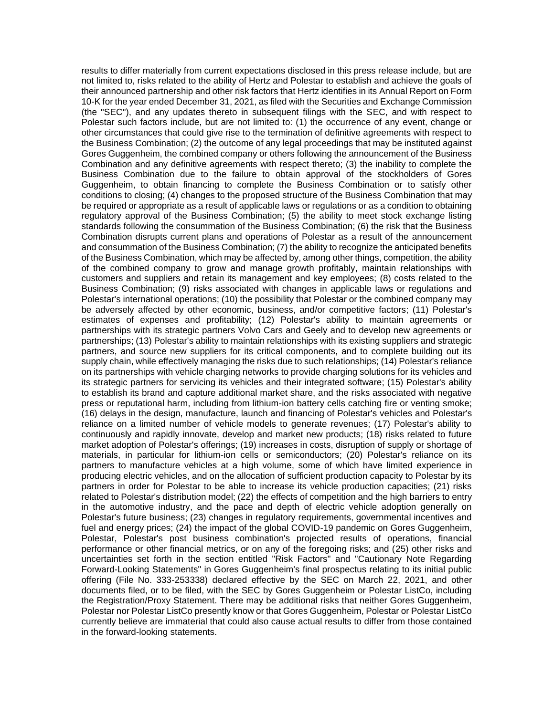results to differ materially from current expectations disclosed in this press release include, but are not limited to, risks related to the ability of Hertz and Polestar to establish and achieve the goals of their announced partnership and other risk factors that Hertz identifies in its Annual Report on Form 10-K for the year ended December 31, 2021, as filed with the Securities and Exchange Commission (the "SEC"), and any updates thereto in subsequent filings with the SEC, and with respect to Polestar such factors include, but are not limited to: (1) the occurrence of any event, change or other circumstances that could give rise to the termination of definitive agreements with respect to the Business Combination; (2) the outcome of any legal proceedings that may be instituted against Gores Guggenheim, the combined company or others following the announcement of the Business Combination and any definitive agreements with respect thereto; (3) the inability to complete the Business Combination due to the failure to obtain approval of the stockholders of Gores Guggenheim, to obtain financing to complete the Business Combination or to satisfy other conditions to closing; (4) changes to the proposed structure of the Business Combination that may be required or appropriate as a result of applicable laws or regulations or as a condition to obtaining regulatory approval of the Business Combination; (5) the ability to meet stock exchange listing standards following the consummation of the Business Combination; (6) the risk that the Business Combination disrupts current plans and operations of Polestar as a result of the announcement and consummation of the Business Combination; (7) the ability to recognize the anticipated benefits of the Business Combination, which may be affected by, among other things, competition, the ability of the combined company to grow and manage growth profitably, maintain relationships with customers and suppliers and retain its management and key employees; (8) costs related to the Business Combination; (9) risks associated with changes in applicable laws or regulations and Polestar's international operations; (10) the possibility that Polestar or the combined company may be adversely affected by other economic, business, and/or competitive factors; (11) Polestar's estimates of expenses and profitability; (12) Polestar's ability to maintain agreements or partnerships with its strategic partners Volvo Cars and Geely and to develop new agreements or partnerships; (13) Polestar's ability to maintain relationships with its existing suppliers and strategic partners, and source new suppliers for its critical components, and to complete building out its supply chain, while effectively managing the risks due to such relationships; (14) Polestar's reliance on its partnerships with vehicle charging networks to provide charging solutions for its vehicles and its strategic partners for servicing its vehicles and their integrated software; (15) Polestar's ability to establish its brand and capture additional market share, and the risks associated with negative press or reputational harm, including from lithium-ion battery cells catching fire or venting smoke; (16) delays in the design, manufacture, launch and financing of Polestar's vehicles and Polestar's reliance on a limited number of vehicle models to generate revenues; (17) Polestar's ability to continuously and rapidly innovate, develop and market new products; (18) risks related to future market adoption of Polestar's offerings; (19) increases in costs, disruption of supply or shortage of materials, in particular for lithium-ion cells or semiconductors; (20) Polestar's reliance on its partners to manufacture vehicles at a high volume, some of which have limited experience in producing electric vehicles, and on the allocation of sufficient production capacity to Polestar by its partners in order for Polestar to be able to increase its vehicle production capacities; (21) risks related to Polestar's distribution model; (22) the effects of competition and the high barriers to entry in the automotive industry, and the pace and depth of electric vehicle adoption generally on Polestar's future business; (23) changes in regulatory requirements, governmental incentives and fuel and energy prices; (24) the impact of the global COVID-19 pandemic on Gores Guggenheim, Polestar, Polestar's post business combination's projected results of operations, financial performance or other financial metrics, or on any of the foregoing risks; and (25) other risks and uncertainties set forth in the section entitled "Risk Factors" and "Cautionary Note Regarding Forward-Looking Statements" in Gores Guggenheim's final prospectus relating to its initial public offering (File No. 333-253338) declared effective by the SEC on March 22, 2021, and other documents filed, or to be filed, with the SEC by Gores Guggenheim or Polestar ListCo, including the Registration/Proxy Statement. There may be additional risks that neither Gores Guggenheim, Polestar nor Polestar ListCo presently know or that Gores Guggenheim, Polestar or Polestar ListCo currently believe are immaterial that could also cause actual results to differ from those contained in the forward-looking statements.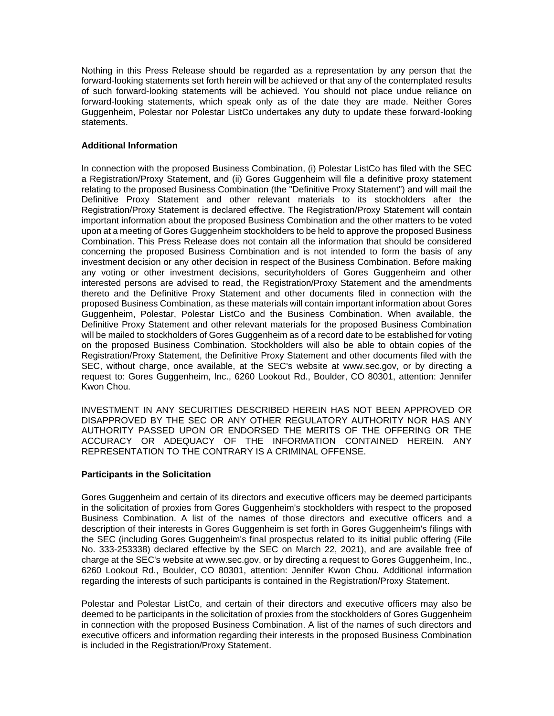Nothing in this Press Release should be regarded as a representation by any person that the forward-looking statements set forth herein will be achieved or that any of the contemplated results of such forward-looking statements will be achieved. You should not place undue reliance on forward-looking statements, which speak only as of the date they are made. Neither Gores Guggenheim, Polestar nor Polestar ListCo undertakes any duty to update these forward-looking statements.

## **Additional Information**

In connection with the proposed Business Combination, (i) Polestar ListCo has filed with the SEC a Registration/Proxy Statement, and (ii) Gores Guggenheim will file a definitive proxy statement relating to the proposed Business Combination (the "Definitive Proxy Statement") and will mail the Definitive Proxy Statement and other relevant materials to its stockholders after the Registration/Proxy Statement is declared effective. The Registration/Proxy Statement will contain important information about the proposed Business Combination and the other matters to be voted upon at a meeting of Gores Guggenheim stockholders to be held to approve the proposed Business Combination. This Press Release does not contain all the information that should be considered concerning the proposed Business Combination and is not intended to form the basis of any investment decision or any other decision in respect of the Business Combination. Before making any voting or other investment decisions, securityholders of Gores Guggenheim and other interested persons are advised to read, the Registration/Proxy Statement and the amendments thereto and the Definitive Proxy Statement and other documents filed in connection with the proposed Business Combination, as these materials will contain important information about Gores Guggenheim, Polestar, Polestar ListCo and the Business Combination. When available, the Definitive Proxy Statement and other relevant materials for the proposed Business Combination will be mailed to stockholders of Gores Guggenheim as of a record date to be established for voting on the proposed Business Combination. Stockholders will also be able to obtain copies of the Registration/Proxy Statement, the Definitive Proxy Statement and other documents filed with the SEC, without charge, once available, at the SEC's website at www.sec.gov, or by directing a request to: Gores Guggenheim, Inc., 6260 Lookout Rd., Boulder, CO 80301, attention: Jennifer Kwon Chou.

INVESTMENT IN ANY SECURITIES DESCRIBED HEREIN HAS NOT BEEN APPROVED OR DISAPPROVED BY THE SEC OR ANY OTHER REGULATORY AUTHORITY NOR HAS ANY AUTHORITY PASSED UPON OR ENDORSED THE MERITS OF THE OFFERING OR THE ACCURACY OR ADEQUACY OF THE INFORMATION CONTAINED HEREIN. ANY REPRESENTATION TO THE CONTRARY IS A CRIMINAL OFFENSE.

### **Participants in the Solicitation**

Gores Guggenheim and certain of its directors and executive officers may be deemed participants in the solicitation of proxies from Gores Guggenheim's stockholders with respect to the proposed Business Combination. A list of the names of those directors and executive officers and a description of their interests in Gores Guggenheim is set forth in Gores Guggenheim's filings with the SEC (including Gores Guggenheim's final prospectus related to its initial public offering (File No. 333-253338) declared effective by the SEC on March 22, 2021), and are available free of charge at the SEC's website at www.sec.gov, or by directing a request to Gores Guggenheim, Inc., 6260 Lookout Rd., Boulder, CO 80301, attention: Jennifer Kwon Chou. Additional information regarding the interests of such participants is contained in the Registration/Proxy Statement.

Polestar and Polestar ListCo, and certain of their directors and executive officers may also be deemed to be participants in the solicitation of proxies from the stockholders of Gores Guggenheim in connection with the proposed Business Combination. A list of the names of such directors and executive officers and information regarding their interests in the proposed Business Combination is included in the Registration/Proxy Statement.